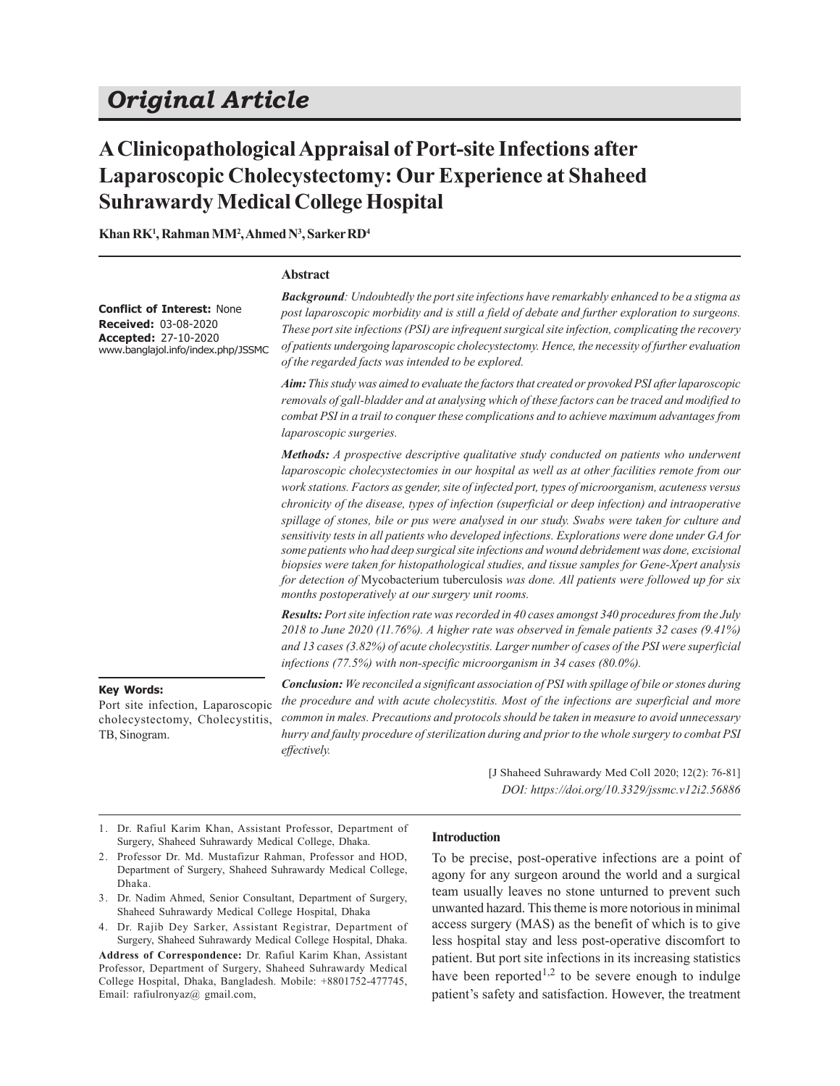# **A Clinicopathological Appraisal of Port-site Infections after Laparoscopic Cholecystectomy: Our Experience at Shaheed Suhrawardy Medical College Hospital**

**Khan RK<sup>1</sup> , Rahman MM<sup>2</sup> , Ahmed N<sup>3</sup> , Sarker RD<sup>4</sup>**

#### **Abstract**

| <b>Conflict of Interest: None</b><br><b>Received: 03-08-2020</b><br>Accepted: 27-10-2020<br>www.banglajol.info/index.php/JSSMC | <b>Background</b> : Undoubtedly the port site infections have remarkably enhanced to be a stigma as<br>post laparoscopic morbidity and is still a field of debate and further exploration to surgeons.<br>These port site infections (PSI) are infrequent surgical site infection, complicating the recovery<br>of patients undergoing laparoscopic cholecystectomy. Hence, the necessity of further evaluation<br>of the regarded facts was intended to be explored.<br>Aim: This study was aimed to evaluate the factors that created or provoked PSI after laparoscopic<br>removals of gall-bladder and at analysing which of these factors can be traced and modified to<br>combat PSI in a trail to conquer these complications and to achieve maximum advantages from<br><i>laparoscopic surgeries.</i>                                                                                                                                                |
|--------------------------------------------------------------------------------------------------------------------------------|--------------------------------------------------------------------------------------------------------------------------------------------------------------------------------------------------------------------------------------------------------------------------------------------------------------------------------------------------------------------------------------------------------------------------------------------------------------------------------------------------------------------------------------------------------------------------------------------------------------------------------------------------------------------------------------------------------------------------------------------------------------------------------------------------------------------------------------------------------------------------------------------------------------------------------------------------------------|
|                                                                                                                                | Methods: A prospective descriptive qualitative study conducted on patients who underwent<br>laparoscopic cholecystectomies in our hospital as well as at other facilities remote from our<br>work stations. Factors as gender, site of infected port, types of microorganism, acuteness versus<br>chronicity of the disease, types of infection (superficial or deep infection) and intraoperative<br>spillage of stones, bile or pus were analysed in our study. Swabs were taken for culture and<br>sensitivity tests in all patients who developed infections. Explorations were done under GA for<br>some patients who had deep surgical site infections and wound debridement was done, excisional<br>biopsies were taken for histopathological studies, and tissue samples for Gene-Xpert analysis<br>for detection of Mycobacterium tuberculosis was done. All patients were followed up for six<br>months postoperatively at our surgery unit rooms. |
|                                                                                                                                | Results: Port site infection rate was recorded in 40 cases amongst 340 procedures from the July<br>2018 to June 2020 (11.76%). A higher rate was observed in female patients 32 cases (9.41%)<br>and 13 cases (3.82%) of acute cholecystitis. Larger number of cases of the PSI were superficial<br>infections $(77.5%)$ with non-specific microorganism in 34 cases $(80.0%)$ .                                                                                                                                                                                                                                                                                                                                                                                                                                                                                                                                                                             |
| <b>Key Words:</b>                                                                                                              | <b>Conclusion:</b> We reconciled a significant association of PSI with spillage of bile or stones during<br>the nuccedume and with goute chology title. Most of the infections and amount sixt and move                                                                                                                                                                                                                                                                                                                                                                                                                                                                                                                                                                                                                                                                                                                                                      |

Port site infection, Laparoscopic cholecystectomy, Cholecystitis, TB, Sinogram.

*Conclusion: We reconciled a significant association of PSI with spillage of bile or stones during the procedure and with acute cholecystitis. Most of the infections are superficial and more common in males. Precautions and protocols should be taken in measure to avoid unnecessary hurry and faulty procedure of sterilization during and prior to the whole surgery to combat PSI effectively.*

> [J Shaheed Suhrawardy Med Coll 2020; 12(2): 76-81] *DOI: https://doi.org/10.3329/jssmc.v12i2.56886*

1. Dr. Rafiul Karim Khan, Assistant Professor, Department of Surgery, Shaheed Suhrawardy Medical College, Dhaka.

## **Introduction**

- 2. Professor Dr. Md. Mustafizur Rahman, Professor and HOD, Department of Surgery, Shaheed Suhrawardy Medical College, Dhaka.
- 3. Dr. Nadim Ahmed, Senior Consultant, Department of Surgery, Shaheed Suhrawardy Medical College Hospital, Dhaka
- 4. Dr. Rajib Dey Sarker, Assistant Registrar, Department of Surgery, Shaheed Suhrawardy Medical College Hospital, Dhaka. **Address of Correspondence:** Dr. Rafiul Karim Khan, Assistant Professor, Department of Surgery, Shaheed Suhrawardy Medical College Hospital, Dhaka, Bangladesh. Mobile: +8801752-477745, Email: rafiulronyaz@ gmail.com,

To be precise, post-operative infections are a point of agony for any surgeon around the world and a surgical team usually leaves no stone unturned to prevent such unwanted hazard. This theme is more notorious in minimal access surgery (MAS) as the benefit of which is to give less hospital stay and less post-operative discomfort to patient. But port site infections in its increasing statistics have been reported<sup>1,2</sup> to be severe enough to indulge patient's safety and satisfaction. However, the treatment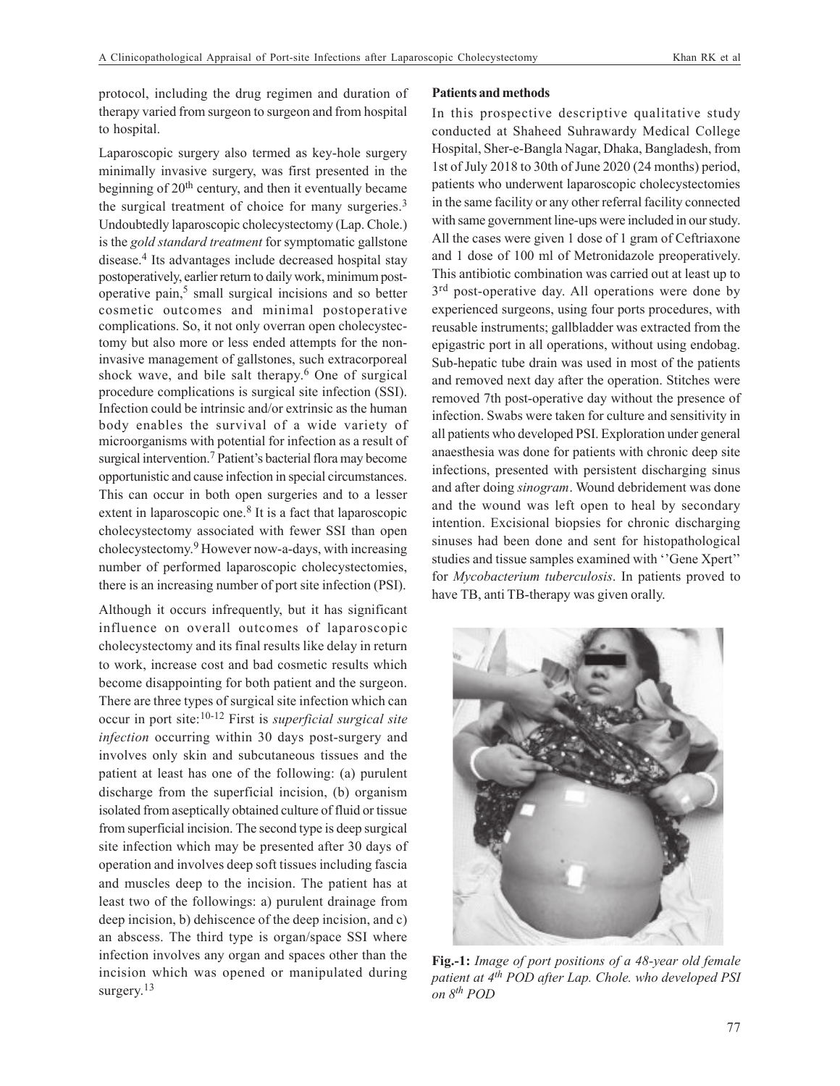protocol, including the drug regimen and duration of therapy varied from surgeon to surgeon and from hospital to hospital.

Laparoscopic surgery also termed as key-hole surgery minimally invasive surgery, was first presented in the beginning of 20<sup>th</sup> century, and then it eventually became the surgical treatment of choice for many surgeries.<sup>3</sup> Undoubtedly laparoscopic cholecystectomy (Lap. Chole.) is the *gold standard treatment* for symptomatic gallstone disease.<sup>4</sup> Its advantages include decreased hospital stay postoperatively, earlier return to daily work, minimum postoperative pain,<sup>5</sup> small surgical incisions and so better cosmetic outcomes and minimal postoperative complications. So, it not only overran open cholecystectomy but also more or less ended attempts for the noninvasive management of gallstones, such extracorporeal shock wave, and bile salt therapy. 6 One of surgical procedure complications is surgical site infection (SSI). Infection could be intrinsic and/or extrinsic as the human body enables the survival of a wide variety of microorganisms with potential for infection as a result of surgical intervention.<sup>7</sup> Patient's bacterial flora may become opportunistic and cause infection in special circumstances. This can occur in both open surgeries and to a lesser extent in laparoscopic one.<sup>8</sup> It is a fact that laparoscopic cholecystectomy associated with fewer SSI than open cholecystectomy. 9 However now-a-days, with increasing number of performed laparoscopic cholecystectomies, there is an increasing number of port site infection (PSI).

Although it occurs infrequently, but it has significant influence on overall outcomes of laparoscopic cholecystectomy and its final results like delay in return to work, increase cost and bad cosmetic results which become disappointing for both patient and the surgeon. There are three types of surgical site infection which can occur in port site:10-12 First is *superficial surgical site infection* occurring within 30 days post-surgery and involves only skin and subcutaneous tissues and the patient at least has one of the following: (a) purulent discharge from the superficial incision, (b) organism isolated from aseptically obtained culture of fluid or tissue from superficial incision. The second type is deep surgical site infection which may be presented after 30 days of operation and involves deep soft tissues including fascia and muscles deep to the incision. The patient has at least two of the followings: a) purulent drainage from deep incision, b) dehiscence of the deep incision, and c) an abscess. The third type is organ/space SSI where infection involves any organ and spaces other than the incision which was opened or manipulated during surgery.<sup>13</sup>

## **Patients and methods**

In this prospective descriptive qualitative study conducted at Shaheed Suhrawardy Medical College Hospital, Sher-e-Bangla Nagar, Dhaka, Bangladesh, from 1st of July 2018 to 30th of June 2020 (24 months) period, patients who underwent laparoscopic cholecystectomies in the same facility or any other referral facility connected with same government line-ups were included in our study. All the cases were given 1 dose of 1 gram of Ceftriaxone and 1 dose of 100 ml of Metronidazole preoperatively. This antibiotic combination was carried out at least up to 3<sup>rd</sup> post-operative day. All operations were done by experienced surgeons, using four ports procedures, with reusable instruments; gallbladder was extracted from the epigastric port in all operations, without using endobag. Sub-hepatic tube drain was used in most of the patients and removed next day after the operation. Stitches were removed 7th post-operative day without the presence of infection. Swabs were taken for culture and sensitivity in all patients who developed PSI. Exploration under general anaesthesia was done for patients with chronic deep site infections, presented with persistent discharging sinus and after doing *sinogram*. Wound debridement was done and the wound was left open to heal by secondary intention. Excisional biopsies for chronic discharging sinuses had been done and sent for histopathological studies and tissue samples examined with ''Gene Xpert'' for *Mycobacterium tuberculosis*. In patients proved to have TB, anti TB-therapy was given orally.



**Fig.-1:** *Image of port positions of a 48-year old female patient at 4th POD after Lap. Chole. who developed PSI on 8th POD*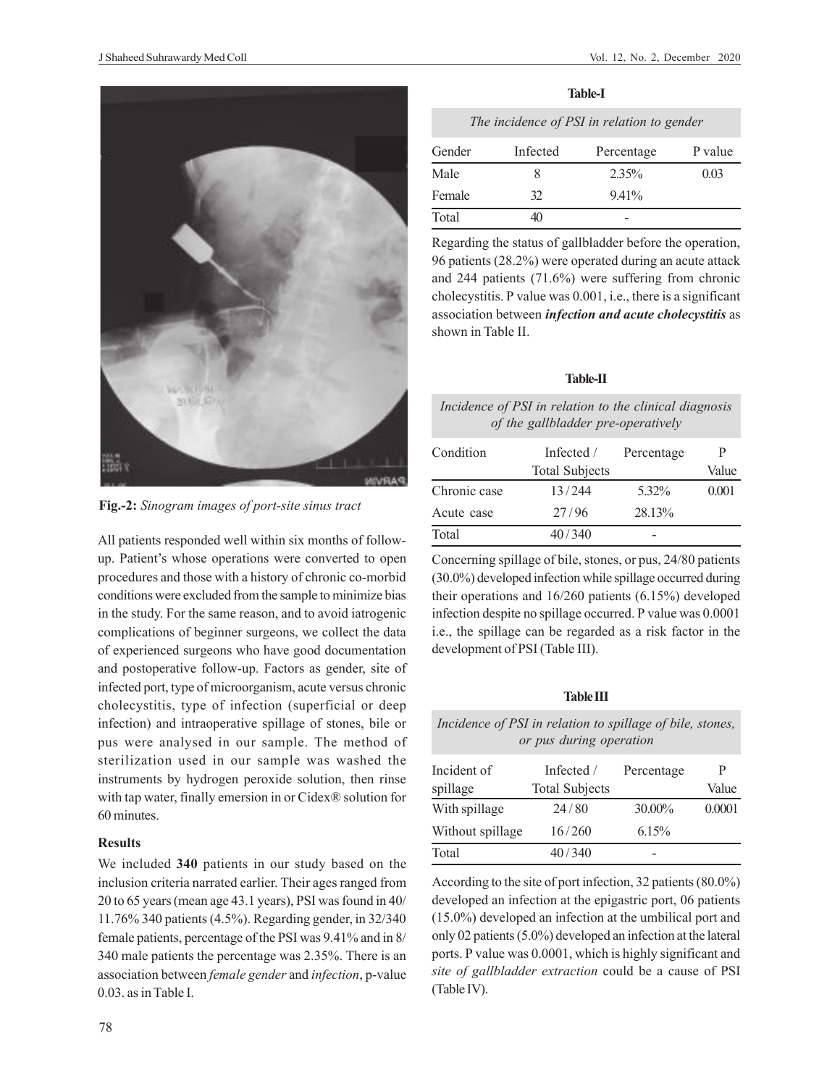

**Fig.-2:** *Sinogram images of port-site sinus tract*

All patients responded well within six months of followup. Patient's whose operations were converted to open procedures and those with a history of chronic co-morbid conditions were excluded from the sample to minimize bias in the study. For the same reason, and to avoid iatrogenic complications of beginner surgeons, we collect the data of experienced surgeons who have good documentation and postoperative follow-up. Factors as gender, site of infected port, type of microorganism, acute versus chronic cholecystitis, type of infection (superficial or deep infection) and intraoperative spillage of stones, bile or pus were analysed in our sample. The method of sterilization used in our sample was washed the instruments by hydrogen peroxide solution, then rinse with tap water, finally emersion in or Cidex® solution for 60 minutes.

## **Results**

We included **340** patients in our study based on the inclusion criteria narrated earlier. Their ages ranged from 20 to 65 years (mean age 43.1 years), PSI was found in 40/ 11.76% 340 patients (4.5%). Regarding gender, in 32/340 female patients, percentage of the PSI was 9.41% and in 8/ 340 male patients the percentage was 2.35%. There is an association between *female gender* and *infection*, p-value 0.03. as in Table I.

| The incidence of PSI in relation to gender |          |            |         |
|--------------------------------------------|----------|------------|---------|
| Gender                                     | Infected | Percentage | P value |
| Male                                       |          | $2.35\%$   | 0.03    |
| Female                                     | 32       | $9.41\%$   |         |
| Total                                      |          |            |         |

**Table-I**

Regarding the status of gallbladder before the operation, 96 patients (28.2%) were operated during an acute attack and 244 patients (71.6%) were suffering from chronic cholecystitis. P value was 0.001, i.e., there is a significant association between *infection and acute cholecystitis* as shown in Table II.

| <b>Table-II</b>                                        |  |
|--------------------------------------------------------|--|
| Incidence of PSI in relation to the clinical diagnosis |  |

| of the gallbladder pre-operatively |                       |            |       |  |
|------------------------------------|-----------------------|------------|-------|--|
| Condition                          | Infected /            | Percentage | P     |  |
|                                    | <b>Total Subjects</b> |            | Value |  |
| Chronic case                       | 13/244                | 5.32%      | 0.001 |  |
| Acute case                         | 27/96                 | 28.13%     |       |  |

Total 40/340

Concerning spillage of bile, stones, or pus, 24/80 patients (30.0%) developed infection while spillage occurred during their operations and 16/260 patients (6.15%) developed infection despite no spillage occurred. P value was 0.0001 i.e., the spillage can be regarded as a risk factor in the development of PSI (Table III).

## **Table III**

## *Incidence of PSI in relation to spillage of bile, stones, or pus during operation*

| Incident of<br>spillage | Infected /<br><b>Total Subjects</b> | Percentage | P<br>Value |
|-------------------------|-------------------------------------|------------|------------|
| With spillage           | 24/80                               | 30.00%     | 0.0001     |
| Without spillage        | 16/260                              | 6.15%      |            |
| Total                   | 40/340                              |            |            |

According to the site of port infection, 32 patients (80.0%) developed an infection at the epigastric port, 06 patients (15.0%) developed an infection at the umbilical port and only 02 patients (5.0%) developed an infection at the lateral ports. P value was 0.0001, which is highly significant and *site of gallbladder extraction* could be a cause of PSI (Table IV).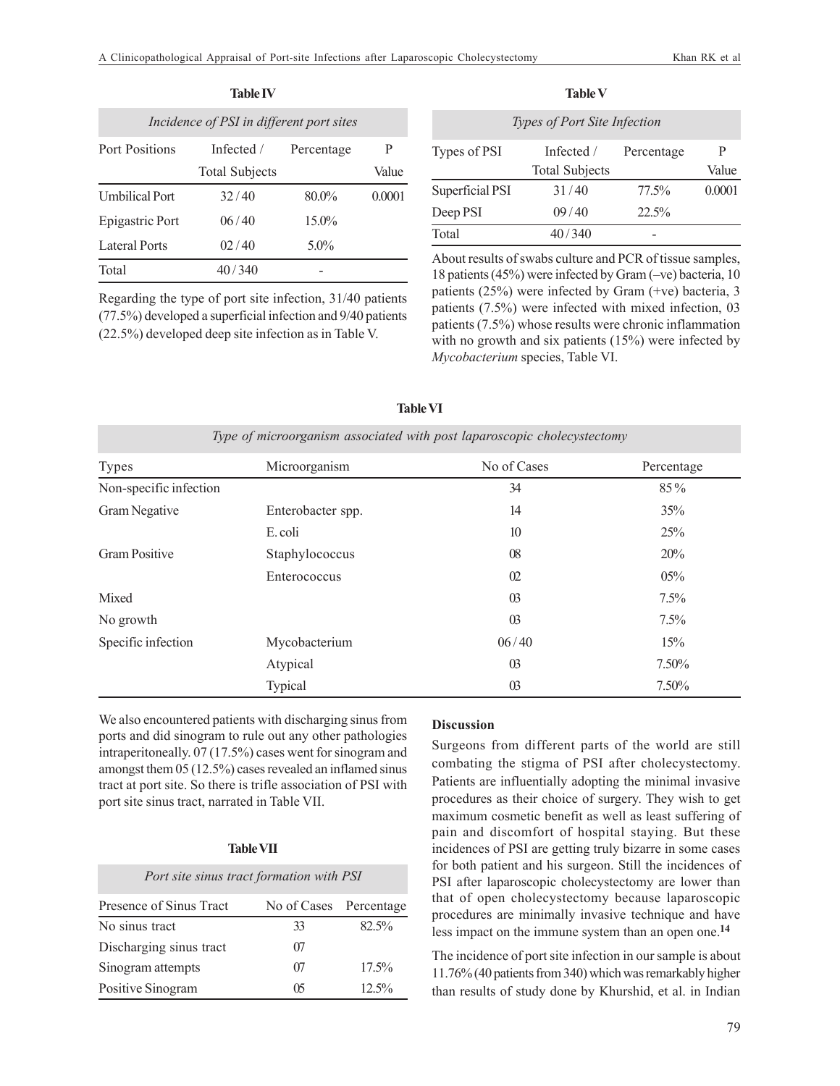| <b>Table IV</b>                          |                       |            |        |
|------------------------------------------|-----------------------|------------|--------|
| Incidence of PSI in different port sites |                       |            |        |
| Port Positions                           | Infected /            | Percentage | P      |
|                                          | <b>Total Subjects</b> |            | Value  |
| <b>Umbilical Port</b>                    | 32/40                 | $80.0\%$   | 0.0001 |
| Epigastric Port                          | 06/40                 | $15.0\%$   |        |
| Lateral Ports                            | 02/40                 | $5.0\%$    |        |
| Total                                    | 40/340                |            |        |

Regarding the type of port site infection, 31/40 patients (77.5%) developed a superficial infection and 9/40 patients (22.5%) developed deep site infection as in Table V.

| .<br>۰,<br>.,<br>×<br>×<br>۰, |  |
|-------------------------------|--|
|-------------------------------|--|

| <b>Types of Port Site Infection</b> |                       |            |        |
|-------------------------------------|-----------------------|------------|--------|
| Types of PSI                        | Infected /            | Percentage | P      |
|                                     | <b>Total Subjects</b> |            | Value  |
| Superficial PSI                     | 31/40                 | 77.5%      | 0.0001 |
| Deep PSI                            | 09/40                 | 22.5%      |        |
| Total                               | 40/340                |            |        |

About results of swabs culture and PCR of tissue samples, 18 patients (45%) were infected by Gram (–ve) bacteria, 10 patients (25%) were infected by Gram (+ve) bacteria, 3 patients (7.5%) were infected with mixed infection, 03 patients (7.5%) whose results were chronic inflammation with no growth and six patients (15%) were infected by *Mycobacterium* species, Table VI.

| <b>Types</b>           | Microorganism     | No of Cases     | Percentage |
|------------------------|-------------------|-----------------|------------|
| Non-specific infection |                   | 34              | 85%        |
| Gram Negative          | Enterobacter spp. | 14              | 35%        |
|                        | E. coli           | 10              | 25%        |
| Gram Positive          | Staphylococcus    | $08\,$          | 20%        |
|                        | Enterococcus      | 02              | 05%        |
| Mixed                  |                   | $\overline{03}$ | $7.5\%$    |
| No growth              |                   | $\overline{03}$ | $7.5\%$    |
| Specific infection     | Mycobacterium     | 06/40           | 15%        |
|                        | Atypical          | $\overline{03}$ | 7.50%      |
|                        | Typical           | $\overline{03}$ | 7.50%      |

**Table VI**

We also encountered patients with discharging sinus from ports and did sinogram to rule out any other pathologies intraperitoneally. 07 (17.5%) cases went for sinogram and amongst them 05 (12.5%) cases revealed an inflamed sinus tract at port site. So there is trifle association of PSI with port site sinus tract, narrated in Table VII.

## **Table VII**

| Port site sinus tract formation with PSI |                        |          |  |
|------------------------------------------|------------------------|----------|--|
| Presence of Sinus Tract                  | No of Cases Percentage |          |  |
| No sinus tract                           | 33                     | $82.5\%$ |  |
| Discharging sinus tract                  | 07                     |          |  |
| Sinogram attempts                        | 07                     | $17.5\%$ |  |
| Positive Sinogram                        | በና                     | $12.5\%$ |  |

# **Discussion**

Surgeons from different parts of the world are still combating the stigma of PSI after cholecystectomy. Patients are influentially adopting the minimal invasive procedures as their choice of surgery. They wish to get maximum cosmetic benefit as well as least suffering of pain and discomfort of hospital staying. But these incidences of PSI are getting truly bizarre in some cases for both patient and his surgeon. Still the incidences of PSI after laparoscopic cholecystectomy are lower than that of open cholecystectomy because laparoscopic procedures are minimally invasive technique and have less impact on the immune system than an open one.**<sup>14</sup>**

The incidence of port site infection in our sample is about 11.76% (40 patients from 340) which was remarkably higher than results of study done by Khurshid, et al. in Indian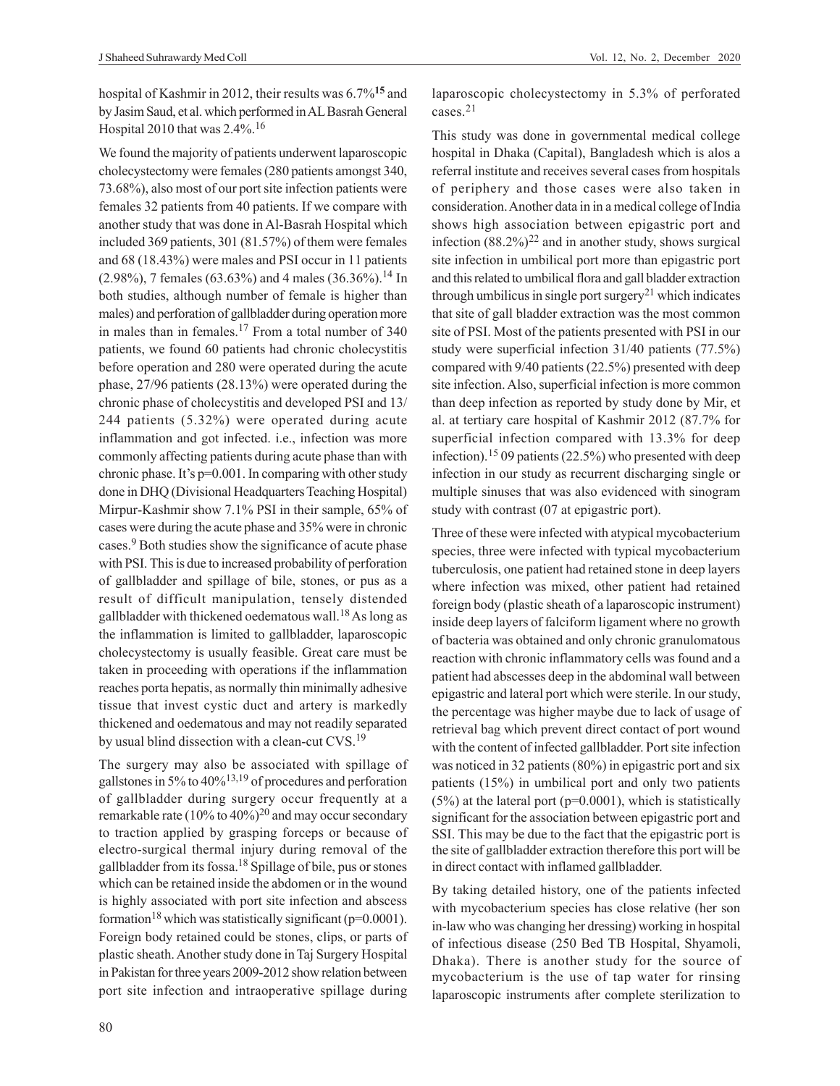hospital of Kashmir in 2012, their results was 6.7%**15** and by Jasim Saud, et al. which performed in AL Basrah General Hospital 2010 that was 2.4%.<sup>16</sup>

We found the majority of patients underwent laparoscopic cholecystectomy were females (280 patients amongst 340, 73.68%), also most of our port site infection patients were females 32 patients from 40 patients. If we compare with another study that was done in Al-Basrah Hospital which included 369 patients, 301 (81.57%) of them were females and 68 (18.43%) were males and PSI occur in 11 patients  $(2.98\%)$ , 7 females (63.63%) and 4 males (36.36%).<sup>14</sup> In both studies, although number of female is higher than males) and perforation of gallbladder during operation more in males than in females.<sup>17</sup> From a total number of 340 patients, we found 60 patients had chronic cholecystitis before operation and 280 were operated during the acute phase, 27/96 patients (28.13%) were operated during the chronic phase of cholecystitis and developed PSI and 13/ 244 patients (5.32%) were operated during acute inflammation and got infected. i.e., infection was more commonly affecting patients during acute phase than with chronic phase. It's p=0.001. In comparing with other study done in DHQ (Divisional Headquarters Teaching Hospital) Mirpur-Kashmir show 7.1% PSI in their sample, 65% of cases were during the acute phase and 35% were in chronic cases.<sup>9</sup> Both studies show the significance of acute phase with PSI. This is due to increased probability of perforation of gallbladder and spillage of bile, stones, or pus as a result of difficult manipulation, tensely distended gallbladder with thickened oedematous wall.18As long as the inflammation is limited to gallbladder, laparoscopic cholecystectomy is usually feasible. Great care must be taken in proceeding with operations if the inflammation reaches porta hepatis, as normally thin minimally adhesive tissue that invest cystic duct and artery is markedly thickened and oedematous and may not readily separated by usual blind dissection with a clean-cut CVS.<sup>19</sup>

The surgery may also be associated with spillage of gallstones in 5% to  $40\frac{\cancel{0}}{13}$ ,<sup>19</sup> of procedures and perforation of gallbladder during surgery occur frequently at a remarkable rate (10% to 40%)<sup>20</sup> and may occur secondary to traction applied by grasping forceps or because of electro-surgical thermal injury during removal of the gallbladder from its fossa.18 Spillage of bile, pus or stones which can be retained inside the abdomen or in the wound is highly associated with port site infection and abscess formation<sup>18</sup> which was statistically significant ( $p=0.0001$ ). Foreign body retained could be stones, clips, or parts of plastic sheath. Another study done in Taj Surgery Hospital in Pakistan for three years 2009-2012 show relation between port site infection and intraoperative spillage during

laparoscopic cholecystectomy in 5.3% of perforated cases.<sup>21</sup>

This study was done in governmental medical college hospital in Dhaka (Capital), Bangladesh which is alos a referral institute and receives several cases from hospitals of periphery and those cases were also taken in consideration. Another data in in a medical college of India shows high association between epigastric port and infection  $(88.2\%)^{22}$  and in another study, shows surgical site infection in umbilical port more than epigastric port and this related to umbilical flora and gall bladder extraction through umbilicus in single port surgery<sup>21</sup> which indicates that site of gall bladder extraction was the most common site of PSI. Most of the patients presented with PSI in our study were superficial infection 31/40 patients (77.5%) compared with 9/40 patients (22.5%) presented with deep site infection. Also, superficial infection is more common than deep infection as reported by study done by Mir, et al. at tertiary care hospital of Kashmir 2012 (87.7% for superficial infection compared with 13.3% for deep infection).<sup>15</sup> 09 patients (22.5%) who presented with deep infection in our study as recurrent discharging single or multiple sinuses that was also evidenced with sinogram study with contrast (07 at epigastric port).

Three of these were infected with atypical mycobacterium species, three were infected with typical mycobacterium tuberculosis, one patient had retained stone in deep layers where infection was mixed, other patient had retained foreign body (plastic sheath of a laparoscopic instrument) inside deep layers of falciform ligament where no growth of bacteria was obtained and only chronic granulomatous reaction with chronic inflammatory cells was found and a patient had abscesses deep in the abdominal wall between epigastric and lateral port which were sterile. In our study, the percentage was higher maybe due to lack of usage of retrieval bag which prevent direct contact of port wound with the content of infected gallbladder. Port site infection was noticed in 32 patients (80%) in epigastric port and six patients (15%) in umbilical port and only two patients  $(5\%)$  at the lateral port (p=0.0001), which is statistically significant for the association between epigastric port and SSI. This may be due to the fact that the epigastric port is the site of gallbladder extraction therefore this port will be in direct contact with inflamed gallbladder.

By taking detailed history, one of the patients infected with mycobacterium species has close relative (her son in-law who was changing her dressing) working in hospital of infectious disease (250 Bed TB Hospital, Shyamoli, Dhaka). There is another study for the source of mycobacterium is the use of tap water for rinsing laparoscopic instruments after complete sterilization to